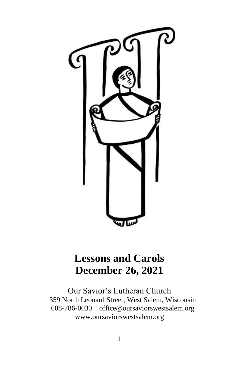

# **Lessons and Carols December 26, 2021**

Our Savior's Lutheran Church 359 North Leonard Street, West Salem, Wisconsin 608-786-0030 office@oursaviorswestsalem.org [www.oursaviorswestsalem.org](http://www.oursaviorswestsalem.org/)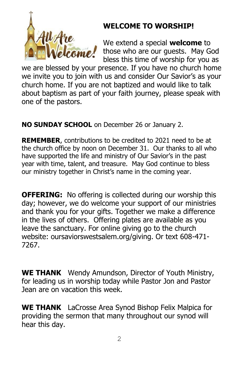

# **WELCOME TO WORSHIP!**

We extend a special **welcome** to those who are our guests. May God bless this time of worship for you as

we are blessed by your presence. If you have no church home we invite you to join with us and consider Our Savior's as your church home. If you are not baptized and would like to talk about baptism as part of your faith journey, please speak with one of the pastors.

**NO SUNDAY SCHOOL** on December 26 or January 2.

**REMEMBER**, contributions to be credited to 2021 need to be at the church office by noon on December 31. Our thanks to all who have supported the life and ministry of Our Savior's in the past year with time, talent, and treasure. May God continue to bless our ministry together in Christ's name in the coming year.

**OFFERING:** No offering is collected during our worship this day; however, we do welcome your support of our ministries and thank you for your gifts. Together we make a difference in the lives of others. Offering plates are available as you leave the sanctuary. For online giving go to the church website: oursaviorswestsalem.org/giving. Or text 608-471- 7267.

**WE THANK** Wendy Amundson, Director of Youth Ministry, for leading us in worship today while Pastor Jon and Pastor Jean are on vacation this week.

**WE THANK** LaCrosse Area Synod Bishop Felix Malpica for providing the sermon that many throughout our synod will hear this day.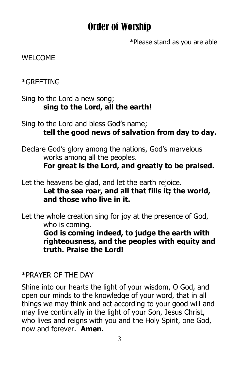# Order of Worship

\*Please stand as you are able

### WELCOME

\*GREETING

Sing to the Lord a new song; **sing to the Lord, all the earth!**

Sing to the Lord and bless God's name; **tell the good news of salvation from day to day.** 

Declare God's glory among the nations, God's marvelous works among all the peoples.

**For great is the Lord, and greatly to be praised.** 

Let the heavens be glad, and let the earth rejoice. **Let the sea roar, and all that fills it; the world, and those who live in it.** 

Let the whole creation sing for joy at the presence of God, who is coming.

**God is coming indeed, to judge the earth with righteousness, and the peoples with equity and truth. Praise the Lord!** 

### \*PRAYER OF THE DAY

Shine into our hearts the light of your wisdom, O God, and open our minds to the knowledge of your word, that in all things we may think and act according to your good will and may live continually in the light of your Son, Jesus Christ, who lives and reigns with you and the Holy Spirit, one God, now and forever. **Amen.**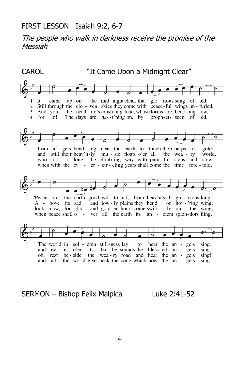#### FIRST LESSON Isaiah 9:2, 6-7

The people who walk in darkness receive the promise of the Messiah

CAROL "It Came Upon a Midnight Clear" It came  $up$  -  $on$ the mid-night clear, that glo-rious song of old,  $\mathbf{1}$  $\overline{2}$ Still through the clo - ven skies they come with peace-ful wings un - furled, 3 And you, be - neath life's crush-ing load, whose forms are bend-ing low, 4 For lo! The days are has-t'ning on, by proph-ets seen of old, from an - gels bend - ing near the earth to touch their harps of gold: and still their heav'n-ly mu - sic floats o'er all the wea - ry<br>who toil a - long the climb-ing way with pain - ful steps and world. slow: when with the ev - er - cir - cling years shall come the time fore - told, "Peace on the earth, good will to all, from heav'n's all - gra - cious king." A - bove its sad and low-ly plains they bend on hov-'ring wing, look now, for glad and gold-en hours come swift - ly on the wing; when peace shall o ver all the earth its an - cient splen-dors fling, The world in sol - emn still-ness lay to hear the an sing. gels and ev - er o'er its ba - bel sounds the bless-ed an - gels sing. the wea-ry road and hear the an - gels rest oh, be - side sing! the world give back the song which now the an and all gels sing.

#### SERMON - Bishop Felix Malpica Luke 2:41-52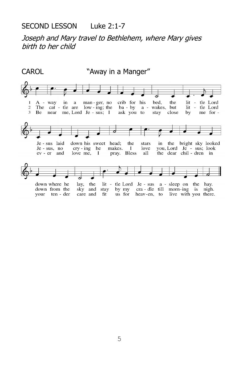### SECOND LESSON Luke 2:1-7

Joseph and Mary travel to Bethlehem, where Mary gives birth to her child

CAROL "Away in a Manger" crib for his bed. lit - tle Lord  $\mathbf{1}$  $A - way$ in a man - ger, no the The cat - the are  $low - ing$ ; the  $\overline{c}$ ba - by a - wakes, but lit - tle Lord 3 Be near me, Lord Je - sus; I ask you to stay close by me for -Je - sus laid down his sweet head; the stars in the bright sky looked Je - sus, no  $\text{cry}$  - ing he makes.  $\mathbf{I}$ love you, Lord Je - sus; look the dear chil - dren in ev - er and love me, - 1 pray. Bless all lit - tle Lord Je - sus a - sleep on the hay.<br>
stay by my cra - dle till morn-ing is nigh.<br>
fit us for heav-en, to live with you there. down where he lay, the down from the sky and stay your ten - der care and fit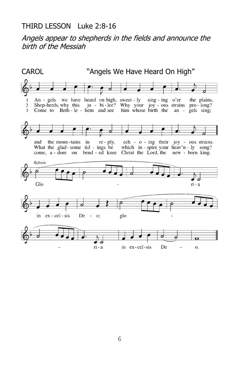### THIRD LESSON Luke 2:8-16

Angels appear to shepherds in the fields and announce the birth of the Messiah

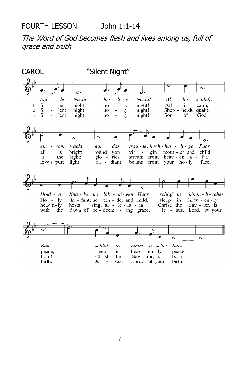### The Word of God becomes flesh and lives among us, full of grace and truth

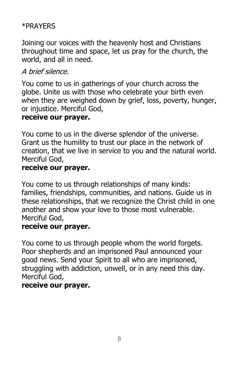## \*PRAYERS

Joining our voices with the heavenly host and Christians throughout time and space, let us pray for the church, the world, and all in need.

# A brief silence.

You come to us in gatherings of your church across the globe. Unite us with those who celebrate your birth even when they are weighed down by grief, loss, poverty, hunger, or injustice. Merciful God,

### **receive our prayer.**

You come to us in the diverse splendor of the universe. Grant us the humility to trust our place in the network of creation, that we live in service to you and the natural world. Merciful God,

### **receive our prayer.**

You come to us through relationships of many kinds: families, friendships, communities, and nations. Guide us in these relationships, that we recognize the Christ child in one another and show your love to those most vulnerable. Merciful God,

### **receive our prayer.**

You come to us through people whom the world forgets. Poor shepherds and an imprisoned Paul announced your good news. Send your Spirit to all who are imprisoned, struggling with addiction, unwell, or in any need this day. Merciful God,

### **receive our prayer.**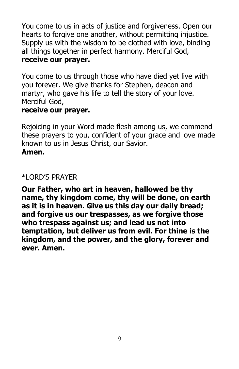You come to us in acts of justice and forgiveness. Open our hearts to forgive one another, without permitting injustice. Supply us with the wisdom to be clothed with love, binding all things together in perfect harmony. Merciful God, **receive our prayer.**

You come to us through those who have died yet live with you forever. We give thanks for Stephen, deacon and martyr, who gave his life to tell the story of your love. Merciful God,

### **receive our prayer.**

Rejoicing in your Word made flesh among us, we commend these prayers to you, confident of your grace and love made known to us in Jesus Christ, our Savior.

### **Amen.**

### \*LORD'S PRAYER

**Our Father, who art in heaven, hallowed be thy name, thy kingdom come, thy will be done, on earth as it is in heaven. Give us this day our daily bread; and forgive us our trespasses, as we forgive those who trespass against us; and lead us not into temptation, but deliver us from evil. For thine is the kingdom, and the power, and the glory, forever and ever. Amen.**